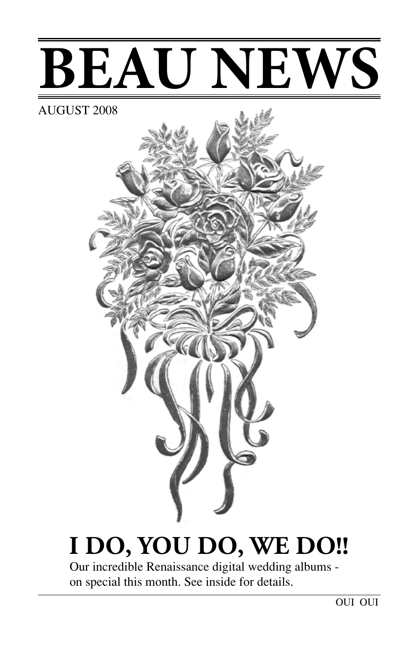# **BEAU NEWS**

#### AUGUST 2008



# **I DO, YOU DO, WE DO!!**

Our incredible Renaissance digital wedding albums on special this month. See inside for details.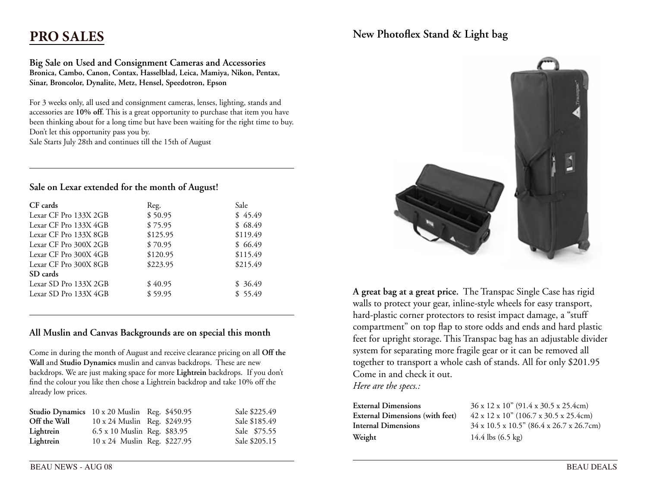## **PRO SALES**

**Big Sale on Used and Consignment Cameras and Accessories Bronica, Cambo, Canon, Contax, Hasselblad, Leica, Mamiya, Nikon, Pentax, Sinar, Broncolor, Dynalite, Metz, Hensel, Speedotron, Epson** 

For 3 weeks only, all used and consignment cameras, lenses, lighting, stands and accessories are **10% off**. This is a great opportunity to purchase that item you have been thinking about for a long time but have been waiting for the right time to buy. Don't let this opportunity pass you by. Sale Starts July 28th and continues till the 15th of August

**Sale on Lexar extended for the month of August!**

| CF cards | Reg. | Sale |
|----------|------|------|

| VI LAIUS              | IVC <sub>K</sub> . | Jdic.    |
|-----------------------|--------------------|----------|
| Lexar CF Pro 133X 2GB | \$50.95            | \$45.49  |
| Lexar CF Pro 133X 4GB | \$75.95            | \$68.49  |
| Lexar CF Pro 133X 8GB | \$125.95           | \$119.49 |
| Lexar CF Pro 300X 2GB | \$70.95            | \$66.49  |
| Lexar CF Pro 300X 4GB | \$120.95           | \$115.49 |
| Lexar CF Pro 300X 8GB | \$223.95           | \$215.49 |
| SD cards              |                    |          |
| Lexar SD Pro 133X 2GB | \$40.95            | \$36.49  |
| Lexar SD Pro 133X 4GB | \$59.95            | \$55.49  |
|                       |                    |          |

#### **All Muslin and Canvas Backgrounds are on special this month**

Come in during the month of August and receive clearance pricing on all **Off the Wall** and **Studio Dynamics** muslin and canvas backdrops. These are new backdrops. We are just making space for more **Lightrein** backdrops. If you don't find the colour you like then chose a Lightrein backdrop and take 10% off the already low prices.

| Studio Dynamics 10 x 20 Muslin Reg. \$450.95 |                              |  | Sale \$225.49 |
|----------------------------------------------|------------------------------|--|---------------|
| Off the Wall                                 | 10 x 24 Muslin Reg. \$249.95 |  | Sale \$185.49 |
| Lightrein                                    | 6.5 x 10 Muslin Reg. \$83.95 |  | Sale \$75.55  |
| Lightrein                                    | 10 x 24 Muslin Reg. \$227.95 |  | Sale \$205.15 |

#### **New Photoflex Stand & Light bag**



**A great bag at a great price.** The Transpac Single Case has rigid walls to protect your gear, inline-style wheels for easy transport, hard-plastic corner protectors to resist impact damage, a "stuff compartment" on top flap to store odds and ends and hard plastic feet for upright storage. This Transpac bag has an adjustable divider system for separating more fragile gear or it can be removed all together to transport a whole cash of stands. All for only \$201.95 Come in and check it out. *Here are the specs.:*

| <b>External Dimensions</b>             | 36 x 12 x 10" (91.4 x 30.5 x 25.4cm)                   |
|----------------------------------------|--------------------------------------------------------|
| <b>External Dimensions (with feet)</b> | $42 \times 12 \times 10^{6}$ (106.7 x 30.5 x 25.4cm)   |
| Internal Dimensions                    | $34 \times 10.5 \times 10.5$ " (86.4 x 26.7 x 26.7 cm) |
| Weight                                 | 14.4 lbs $(6.5 \text{ kg})$                            |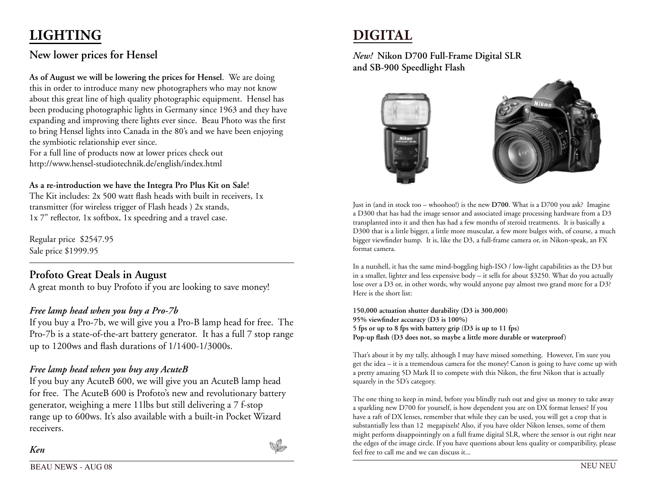# **LIGHTING**

## **New lower prices for Hensel**

**As of August we will be lowering the prices for Hensel**. We are doing this in order to introduce many new photographers who may not know about this great line of high quality photographic equipment. Hensel has been producing photographic lights in Germany since 1963 and they have expanding and improving there lights ever since. Beau Photo was the first to bring Hensel lights into Canada in the 80's and we have been enjoying the symbiotic relationship ever since.

For a full line of products now at lower prices check out http://www.hensel-studiotechnik.de/english/index.html

#### **As a re-introduction we have the Integra Pro Plus Kit on Sale!**

The Kit includes: 2x 500 watt flash heads with built in receivers, 1x transmitter (for wireless trigger of Flash heads ) 2x stands, 1x 7" reflector, 1x softbox, 1x speedring and a travel case.

Regular price \$2547.95 Sale price \$1999.95

#### **Profoto Great Deals in August**

A great month to buy Profoto if you are looking to save money!

#### *Free lamp head when you buy a Pro-7b*

If you buy a Pro-7b, we will give you a Pro-B lamp head for free. The Pro-7b is a state-of-the-art battery generator. It has a full 7 stop range up to 1200ws and flash durations of 1/1400-1/3000s.

#### *Free lamp head when you buy any AcuteB*

If you buy any AcuteB 600, we will give you an AcuteB lamp head for free. The AcuteB 600 is Profoto's new and revolutionary battery generator, weighing a mere 11lbs but still delivering a 7 f-stop range up to 600ws. It's also available with a built-in Pocket Wizard receivers.



*New!* **Nikon D700 Full-Frame Digital SLR and SB-900 Speedlight Flash**





Just in (and in stock too – whoohoo!) is the new **D700**. What is a D700 you ask? Imagine a D300 that has had the image sensor and associated image processing hardware from a D3 transplanted into it and then has had a few months of steroid treatments. It is basically a D300 that is a little bigger, a little more muscular, a few more bulges with, of course, a much bigger viewfinder hump. It is, like the D3, a full-frame camera or, in Nikon-speak, an FX format camera.

In a nutshell, it has the same mind-boggling high-ISO / low-light capabilities as the D3 but in a smaller, lighter and less expensive body – it sells for about \$3250. What do you actually lose over a D3 or, in other words, why would anyone pay almost two grand more for a D3? Here is the short list:

**150,000 actuation shutter durability (D3 is 300,000) 95% viewfinder accuracy (D3 is 100%) 5 fps or up to 8 fps with battery grip (D3 is up to 11 fps) Pop-up flash (D3 does not, so maybe a little more durable or waterproof)**

That's about it by my tally, although I may have missed something. However, I'm sure you get the idea – it is a tremendous camera for the money! Canon is going to have come up with a pretty amazing 5D Mark II to compete with this Nikon, the first Nikon that is actually squarely in the 5D's category.

The one thing to keep in mind, before you blindly rush out and give us money to take away a sparkling new D700 for yourself, is how dependent you are on DX format lenses? If you have a raft of DX lenses, remember that while they can be used, you will get a crop that is substantially less than 12 megapixels! Also, if you have older Nikon lenses, some of them might perform disappointingly on a full frame digital SLR, where the sensor is out right near the edges of the image circle. If you have questions about lens quality or compatibility, please feel free to call me and we can discuss it...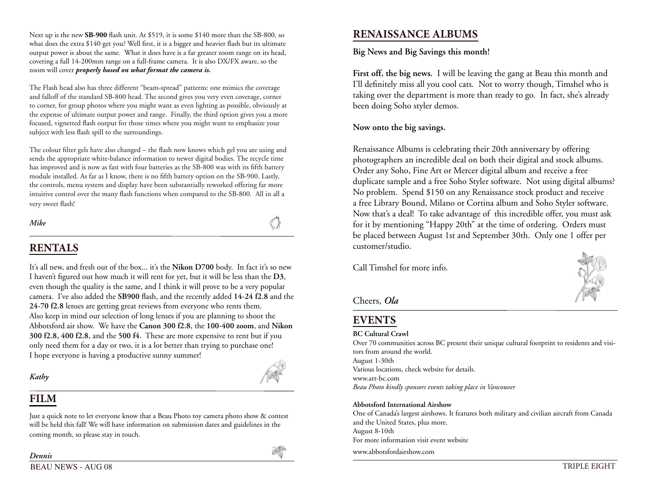Next up is the new **SB-900** flash unit. At \$519, it is some \$140 more than the SB-800, so what does the extra \$140 get you? Well first, it is a bigger and heavier flash but its ultimate output power is about the same. What it does have is a far greater zoom range on its head, covering a full 14-200mm range on a full-frame camera. It is also DX/FX aware, so the zoom will cover *properly based on what format the camera is.*

The Flash head also has three different "beam-spread" patterns: one mimics the coverage and falloff of the standard SB-800 head. The second gives you very even coverage, corner to corner, for group photos where you might want as even lighting as possible, obviously at the expense of ultimate output power and range. Finally, the third option gives you a more focused, vignetted flash output for those times where you might want to emphasize your subject with less flash spill to the surroundings.

The colour filter gels have also changed – the flash now knows which gel you are using and sends the appropriate white-balance information to newer digital bodies. The recycle time has improved and is now as fast with four batteries as the SB-800 was with its fifth battery module installed. As far as I know, there is no fifth battery option on the SB-900. Lastly, the controls, menu system and display have been substantially reworked offering far more intuitive control over the many flash functions when compared to the SB-800. All in all a very sweet flash!

*Mike*

## **RENTALS**

It's all new, and fresh out of the box... it's the **Nikon D700** body. In fact it's so new I haven't figured out how much it will rent for yet, but it will be less than the **D3**, even though the quality is the same, and I think it will prove to be a very popular camera. I've also added the **SB900** flash, and the recently added **14-24 f2.8** and the **24-70 f2.8** lenses are getting great reviews from everyone who rents them. Also keep in mind our selection of long lenses if you are planning to shoot the Abbotsford air show. We have the **Canon 300 f2.8**, the **100-400 zoom**, and **Nikon 300 f2.8, 400 f2.8**, and the **500 f4**. These are more expensive to rent but if you only need them for a day or two, it is a lot better than trying to purchase one! I hope everyone is having a productive sunny summer!

*Kathy*

## **FILM**

Just a quick note to let everyone know that a Beau Photo toy camera photo show & contest will be held this fall! We will have information on submission dates and guidelines in the coming month, so please stay in touch.



**Big News and Big Savings this month!**

**First off, the big news.** I will be leaving the gang at Beau this month and I'll definitely miss all you cool cats. Not to worry though, Timshel who is taking over the department is more than ready to go. In fact, she's already been doing Soho styler demos.

#### **Now onto the big savings.**

Renaissance Albums is celebrating their 20th anniversary by offering photographers an incredible deal on both their digital and stock albums. Order any Soho, Fine Art or Mercer digital album and receive a free duplicate sample and a free Soho Styler software. Not using digital albums? No problem. Spend \$150 on any Renaissance stock product and receive a free Library Bound, Milano or Cortina album and Soho Styler software. Now that's a deal! To take advantage of this incredible offer, you must ask for it by mentioning "Happy 20th" at the time of ordering. Orders must be placed between August 1st and September 30th. Only one 1 offer per customer/studio.

Call Timshel for more info.



Cheers, *Ola*

## **EVENTS**

#### **BC Cultural Crawl**

Over 70 communities across BC present their unique cultural footprint to residents and visitors from around the world. August 1-30th Various locations, check website for details. www.art-bc.com *Beau Photo kindly sponsors events taking place in Vancouver*

#### **Abbotsford International Airshow**

One of Canada's largest airshows. It features both military and civilian aircraft from Canada and the United States, plus more. August 8-10th For more information visit event website

www.abbotsfordairshow.com